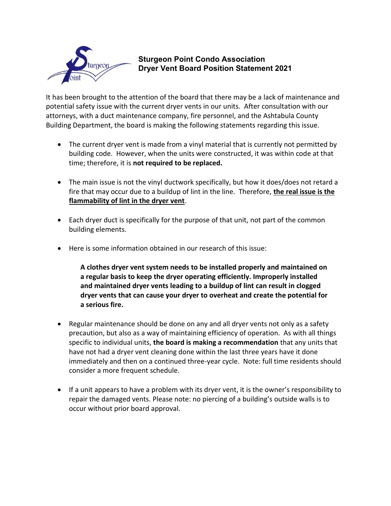

## **Sturgeon Point Condo Association Dryer Vent Board Position Statement 2021**

It has been brought to the attention of the board that there may be a lack of maintenance and potential safety issue with the current dryer vents in our units. After consultation with our attorneys, with a duct maintenance company, fire personnel, and the Ashtabula County Building Department, the board is making the following statements regarding this issue.

- The current dryer vent is made from a vinyl material that is currently not permitted by building code. However, when the units were constructed, it was within code at that time; therefore, it is **not required to be replaced.**
- The main issue is not the vinyl ductwork specifically, but how it does/does not retard a fire that may occur due to a buildup of lint in the line. Therefore, **the real issue is the flammability of lint in the dryer vent**.
- Each dryer duct is specifically for the purpose of that unit, not part of the common building elements.
- Here is some information obtained in our research of this issue:

**A clothes dryer vent system needs to be installed properly and maintained on a regular basis to keep the dryer operating efficiently. Improperly installed and maintained dryer vents leading to a buildup of lint can result in clogged dryer vents that can cause your dryer to overheat and create the potential for a serious fire.**

- Regular maintenance should be done on any and all dryer vents not only as a safety precaution, but also as a way of maintaining efficiency of operation. As with all things specific to individual units, **the board is making a recommendation** that any units that have not had a dryer vent cleaning done within the last three years have it done immediately and then on a continued three-year cycle. Note: full time residents should consider a more frequent schedule.
- If a unit appears to have a problem with its dryer vent, it is the owner's responsibility to repair the damaged vents. Please note: no piercing of a building's outside walls is to occur without prior board approval.